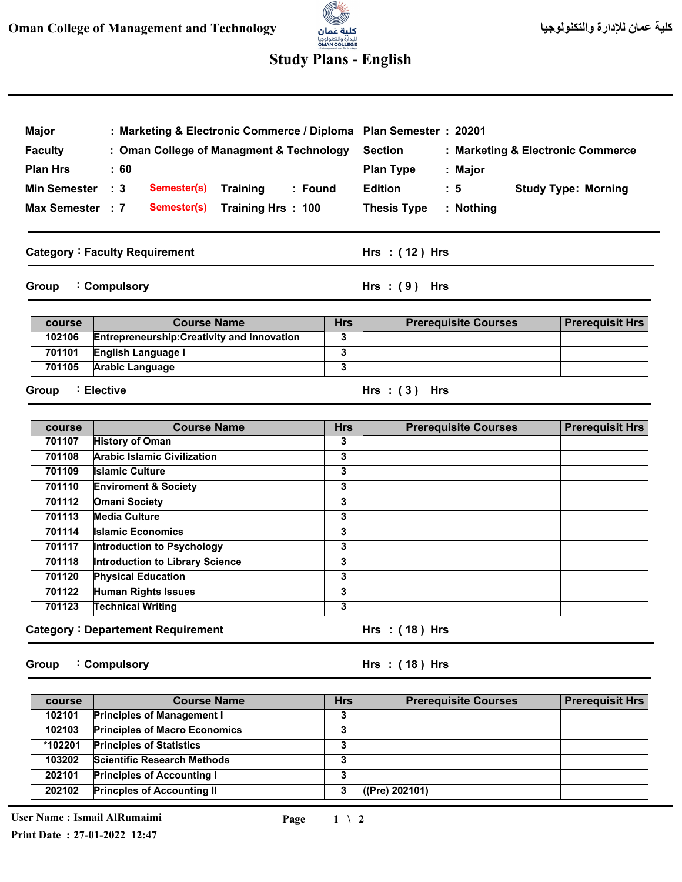# للإدارة والتكنولوجيا<br>OMAN COLLEGE

## **Study Plans - English**

| <b>Major</b><br><b>Faculty</b>         | : Marketing & Electronic Commerce / Diploma<br>: Oman College of Managment & Technology    |            | Plan Semester: 20201<br><b>Section</b><br>: Marketing & Electronic Commerce |  |  |
|----------------------------------------|--------------------------------------------------------------------------------------------|------------|-----------------------------------------------------------------------------|--|--|
| <b>Plan Hrs</b><br><b>Min Semester</b> | : 60                                                                                       |            | <b>Plan Type</b><br>: Major<br><b>Edition</b>                               |  |  |
| Max Semester : 7                       | $\cdot$ 3<br>Semester(s)<br><b>Training</b><br>: Found<br>Training Hrs: 100<br>Semester(s) |            | <b>Study Type: Morning</b><br>: 5<br><b>Thesis Type</b><br>$:$ Nothing      |  |  |
|                                        | <b>Category: Faculty Requirement</b>                                                       |            | $Hrs$ : (12) Hrs                                                            |  |  |
| Group                                  | : Compulsory                                                                               |            | $Hrs : (9)$ Hrs                                                             |  |  |
| <b>course</b>                          | <b>Course Name</b>                                                                         | <b>Hrs</b> | <b>Prerequisit Hrs</b><br><b>Prerequisite Courses</b>                       |  |  |
| 102106                                 | <b>Entrepreneurship: Creativity and Innovation</b>                                         | 3          |                                                                             |  |  |
| 701101                                 | English Language I                                                                         | 3          |                                                                             |  |  |

**3**

#### **Group Elective :**

**Arabic Language** 

**701105**

**Course Name 3 3 3 3 3 3 3 3 3 3 3 3 Hrs Prerequisite Courses Category Departement Requirement : 701107 701108 701109 701110 701112 701113 701114 701117 701118 701120 701122 701123 course Hrs ( 18 ) : Hrs Prerequisit Hrs History of Oman Arabic Islamic Civilization Islamic Culture Enviroment & Society Omani Society Media Culture Islamic Economics Introduction to Psychology Introduction to Library Science Physical Education Human Rights Issues Technical Writing** 

**Group Compulsory :** **( 18 ) Hrs : Hrs**

**( 3 ) Hrs : Hrs**

| course  | <b>Course Name</b>                   | Hrs | <b>Prerequisite Courses</b> | <b>Prerequisit Hrs</b> |
|---------|--------------------------------------|-----|-----------------------------|------------------------|
| 102101  | <b>Principles of Management I</b>    | 3   |                             |                        |
| 102103  | <b>Principles of Macro Economics</b> | 3   |                             |                        |
| *102201 | <b>Principles of Statistics</b>      | 3   |                             |                        |
| 103202  | <b>Scientific Research Methods</b>   | 3   |                             |                        |
| 202101  | <b>Principles of Accounting I</b>    | 3   |                             |                        |
| 202102  | <b>Princples of Accounting II</b>    | 3   | ((Pre) 202101)              |                        |